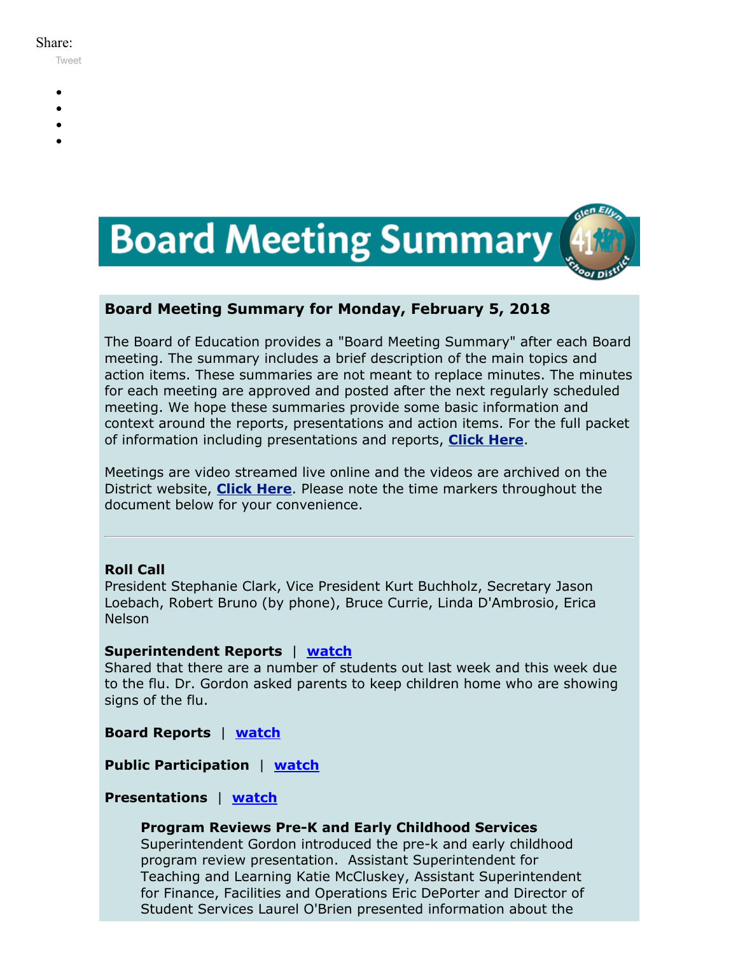#### Share:

[Tweet](https://twitter.com/intent/tweet?original_referer=https%3A%2F%2Fmyemail.constantcontact.com%2FBoard-Meeting-Summary-for-February-5--2018.html%3Fsoid%3D1102200973173%26aid%3DygBlrmenXZU&ref_src=twsrc%5Etfw&text=Board%20Meeting%20Summary%20for%20February%205%2C%202018&tw_p=tweetbutton&url=https%3A%2F%2Fmyemail.constantcontact.com%2FBoard-Meeting-Summary-for-February-5--2018.html%3Fsoid%3D1102200973173%26aid%3DygBlrmenXZU)

- 
- 
- 
- 
- 



# **Board Meeting Summary for Monday, February 5, 2018**

The Board of Education provides a "Board Meeting Summary" after each Board meeting. The summary includes a brief description of the main topics and action items. These summaries are not meant to replace minutes. The minutes for each meeting are approved and posted after the next regularly scheduled meeting. We hope these summaries provide some basic information and context around the reports, presentations and action items. For the full packet of information including presentations and reports, **[Click Here](http://www.d41.org/domain/36)**.

Meetings are video streamed live online and the videos are archived on the District website, **[Click Here](http://www.d41.org/domain/463)**. Please note the time markers throughout the document below for your convenience.

# **Roll Call**

President Stephanie Clark, Vice President Kurt Buchholz, Secretary Jason Loebach, Robert Bruno (by phone), Bruce Currie, Linda D'Ambrosio, Erica Nelson

# **Superintendent Reports** | **[watch](https://youtu.be/ah0n4W0mkKI?t=1m52s)**

Shared that there are a number of students out last week and this week due to the flu. Dr. Gordon asked parents to keep children home who are showing signs of the flu.

**Board Reports** | **[watch](https://youtu.be/ah0n4W0mkKI?t=3m20s)**

**Public Participation** | **[watch](https://youtu.be/ah0n4W0mkKI?t=8m13s)**

# **Presentations** | **[watch](https://youtu.be/ah0n4W0mkKI?t=22m08s)**

# **Program Reviews Pre-K and Early Childhood Services**

Superintendent Gordon introduced the pre-k and early childhood program review presentation. Assistant Superintendent for Teaching and Learning Katie McCluskey, Assistant Superintendent for Finance, Facilities and Operations Eric DePorter and Director of Student Services Laurel O'Brien presented information about the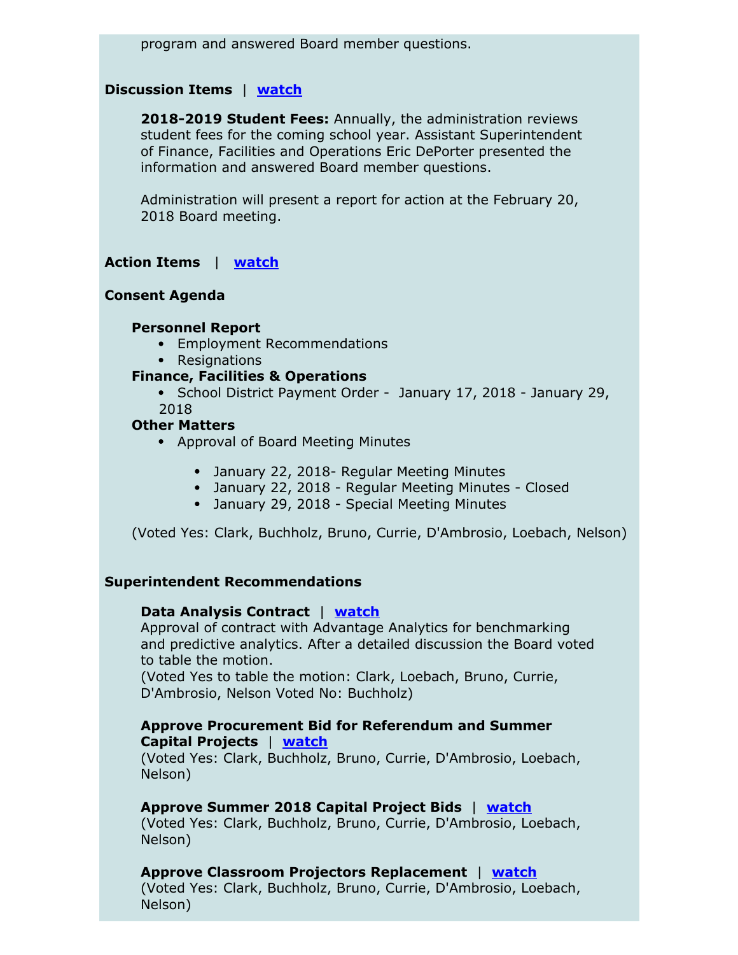program and answered Board member questions.

### **Discussion Items** | **[watch](https://youtu.be/ah0n4W0mkKI?t=57m50s)**

**2018-2019 Student Fees:** Annually, the administration reviews student fees for the coming school year. Assistant Superintendent of Finance, Facilities and Operations Eric DePorter presented the information and answered Board member questions.

Administration will present a report for action at the February 20, 2018 Board meeting.

### **Action Items** | **[watch](https://youtu.be/ah0n4W0mkKI?t=1h04m15s)**

#### **Consent Agenda**

#### **Personnel Report**

- Employment Recommendations
- Resignations

#### **Finance, Facilities & Operations**

• School District Payment Order - January 17, 2018 - January 29, 2018

### **Other Matters**

- Approval of Board Meeting Minutes
	- January 22, 2018- Regular Meeting Minutes
	- January 22, 2018 Regular Meeting Minutes Closed
	- January 29, 2018 Special Meeting Minutes

(Voted Yes: Clark, Buchholz, Bruno, Currie, D'Ambrosio, Loebach, Nelson)

#### **Superintendent Recommendations**

#### **Data Analysis Contract** | **[watch](https://youtu.be/ah0n4W0mkKI?t=1h05m20s)**

Approval of contract with Advantage Analytics for benchmarking and predictive analytics. After a detailed discussion the Board voted to table the motion.

(Voted Yes to table the motion: Clark, Loebach, Bruno, Currie, D'Ambrosio, Nelson Voted No: Buchholz)

## **Approve Procurement Bid for Referendum and Summer Capital Projects** | **[watch](https://youtu.be/ah0n4W0mkKI?t=1h52m05s)**

(Voted Yes: Clark, Buchholz, Bruno, Currie, D'Ambrosio, Loebach, Nelson)

#### **Approve Summer 2018 Capital Project Bids** | **[watch](https://youtu.be/ah0n4W0mkKI?t=1h53m15s)**

(Voted Yes: Clark, Buchholz, Bruno, Currie, D'Ambrosio, Loebach, Nelson)

**Approve Classroom Projectors Replacement** | **[watch](https://youtu.be/ah0n4W0mkKI?t=1h54m21s)**

(Voted Yes: Clark, Buchholz, Bruno, Currie, D'Ambrosio, Loebach, Nelson)